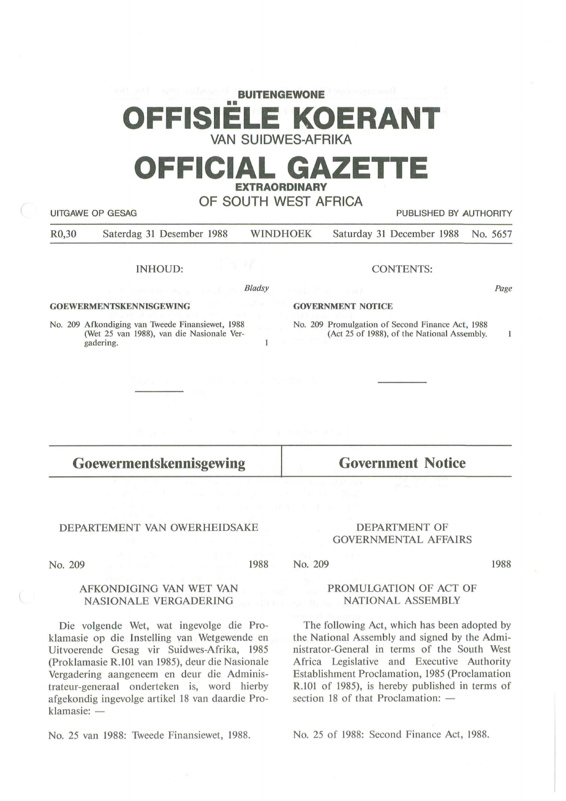# **BUITENGEWONE**  •• **OFFISIELE KOERANT VAN SUIDWES-AFRIKA**

# **OFFICIAL GAZET EXTRAORDINARY**

**OF SOUTH WEST AFRICA** 

UITGAWE OP GESAG **PUBLISHED BY AUTHORITY** 

R0,30 Saterdag 31 Desember 1988 WINDHOEK Saturday 31 December 1988 No. 5657

*Bladsy* 

 $\mathbf{1}$ 

INHOUD:

**GOEWERMENTSKENNISGEWING** 

No. 209 Afkondiging van Tweede Finansiewet, 1988 (Wet 25 van 1988), van die Nasionale Vergadering.

### CONTENTS:

*Page* 

#### **GOVERNMENT NOTICE**

No. 209 Promulgation of Second Finance Act, 1988 (Act 25 of 1988), of the National Assembly.

 $\mathbf{1}$ 

1988

**Goewermentskennisgewing** 

DEPARTEMENT VAN OWERHEIDSAKE

No. 209

### AFKONDIGING VAN WET VAN NASIONALE VERGADERING

Die volgende Wet, wat ingevolge die Proklamasie op die lnstelling van Wetgewende en Uitvoerende Gesag vir Suidwes-Afrika, 1985 (Proklamasie R.101 van 1985), deur die Nasionale Vergadering aangeneem en deur die Administrateur-generaal onderteken is, word hierby afgekondig ingevolge artikel 18 van daardie Proklamasie: -

No. 25 van 1988: Tweede Finansiewet, 1988.

# DEPARTMENT OF

**Government Notice** 

## GOVERNMENTAL AFFAIRS

1988 No. 209

> PROMULGATION OF ACT OF NATIONAL ASSEMBLY

The following Act, which has been adopted by the National Assembly and signed by the Administrator-General in terms of the South West Africa Legislative and Executive Authority Establishment Proclamation, 1985 (Proclamation R.101 of 1985), is hereby published in terms of section 18 of that Proclamation:  $-$ 

No. 25 of 1988: Second Finance Act, 1988.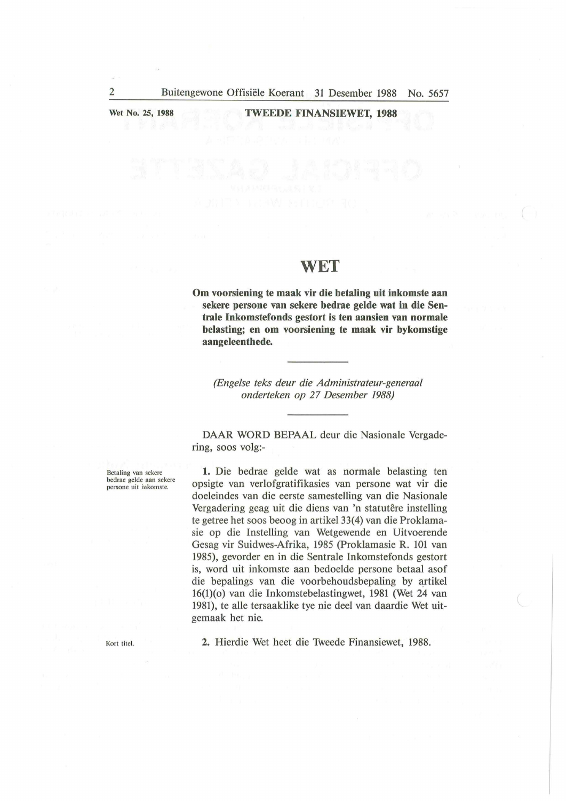**Wet No. 25, 1988** 

### **TWEEDE FINANSIEWET, 1988**

### **WET**

Om voorsiening te maak vir die betaling uit inkomste aan **sekere persone van sekere bedrae gelde wat in die Sentrale lnkomstefonds gestort is ten aansien van normale belasting; en om voorsiening te maak vir bykomstige aangeleenthede.** 

*(Engelse teks deur die Administrateur-generaal onderteken op 27 Desember 1988)* 

DAAR WORD BEPAAL deur die Nasionale Vergadering, soos volg:-

Betaling van sekere bedrae gelde aan sekere persone uit inkomste.

**1.** Die bedrae gelde wat as normale belasting ten opsigte van verlofgratifikasies van persone wat vir die doeleindes van die eerste samestelling van die Nasionale Vergadering geag uit die diens van 'n statutêre instelling te getree bet soos beoog in artikel 33(4) van die Proklamasie op die Instelling van Wetgewende en Uitvoerende Gesag vir Suidwes-Afrika, 1985 (Proklamasie R. 101 van 1985), gevorder en in die Sentrale Inkomstefonds gestort is, word uit inkomste aan bedoelde persone betaal asof die bepalings van die voorbehoudsbepaling by artikel 16(1)(0) van die Inkomstebelastingwet, 1981 (Wet 24 van 1981), te alle tersaaklike tye nie deel van daardie Wet uitgemaak bet nie.

Kort titel.

**2.** Hierdie Wet heet die Tweede Finansiewet, 1988.